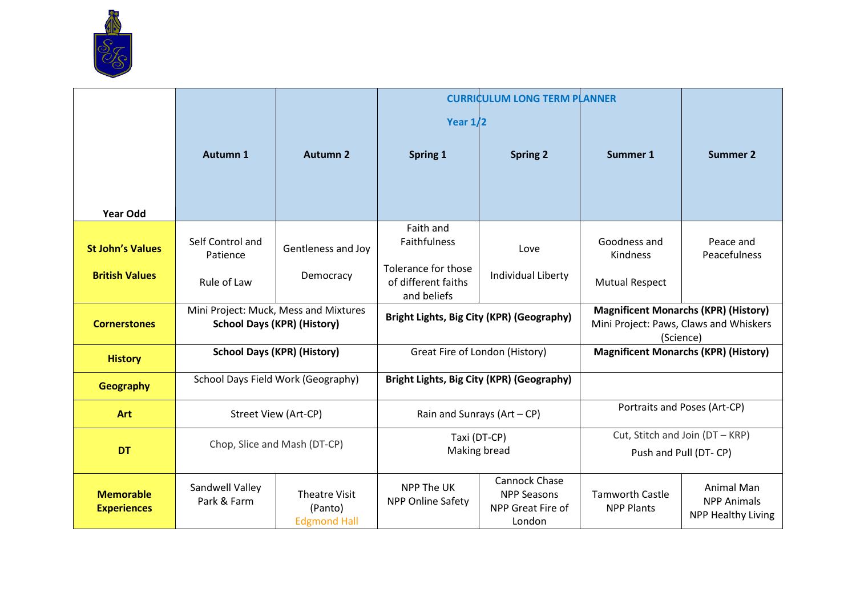

|                                        |                                                                             |                                                        |                                                           | <b>CURRICULUM LONG TERM PLANNER</b>                                       |                                                                                                    |                                                               |
|----------------------------------------|-----------------------------------------------------------------------------|--------------------------------------------------------|-----------------------------------------------------------|---------------------------------------------------------------------------|----------------------------------------------------------------------------------------------------|---------------------------------------------------------------|
|                                        |                                                                             |                                                        | Year $1/2$                                                |                                                                           |                                                                                                    |                                                               |
|                                        | Autumn 1                                                                    | <b>Autumn 2</b>                                        | Spring 1                                                  | <b>Spring 2</b>                                                           | Summer 1                                                                                           | <b>Summer 2</b>                                               |
| <b>Year Odd</b>                        |                                                                             |                                                        |                                                           |                                                                           |                                                                                                    |                                                               |
| <b>St John's Values</b>                | Self Control and<br>Patience                                                | Gentleness and Joy                                     | Faith and<br>Faithfulness                                 | Love                                                                      | Goodness and<br>Kindness                                                                           | Peace and<br>Peacefulness                                     |
| <b>British Values</b>                  | Rule of Law                                                                 | Democracy                                              | Tolerance for those<br>of different faiths<br>and beliefs | Individual Liberty                                                        | <b>Mutual Respect</b>                                                                              |                                                               |
| <b>Cornerstones</b>                    | Mini Project: Muck, Mess and Mixtures<br><b>School Days (KPR) (History)</b> |                                                        | Bright Lights, Big City (KPR) (Geography)                 |                                                                           | <b>Magnificent Monarchs (KPR) (History)</b><br>Mini Project: Paws, Claws and Whiskers<br>(Science) |                                                               |
| <b>History</b>                         | <b>School Days (KPR) (History)</b>                                          |                                                        | Great Fire of London (History)                            |                                                                           |                                                                                                    | <b>Magnificent Monarchs (KPR) (History)</b>                   |
| Geography                              | School Days Field Work (Geography)                                          |                                                        | Bright Lights, Big City (KPR) (Geography)                 |                                                                           |                                                                                                    |                                                               |
| <b>Art</b>                             | Street View (Art-CP)                                                        |                                                        | Rain and Sunrays $(Art - CP)$                             |                                                                           | Portraits and Poses (Art-CP)                                                                       |                                                               |
|                                        | Chop, Slice and Mash (DT-CP)<br><b>DT</b>                                   |                                                        | Taxi (DT-CP)<br>Making bread                              |                                                                           | Cut, Stitch and Join (DT - KRP)                                                                    |                                                               |
|                                        |                                                                             |                                                        |                                                           |                                                                           | Push and Pull (DT-CP)                                                                              |                                                               |
| <b>Memorable</b><br><b>Experiences</b> | Sandwell Valley<br>Park & Farm                                              | <b>Theatre Visit</b><br>(Panto)<br><b>Edgmond Hall</b> | NPP The UK<br><b>NPP Online Safety</b>                    | <b>Cannock Chase</b><br><b>NPP Seasons</b><br>NPP Great Fire of<br>London | <b>Tamworth Castle</b><br><b>NPP Plants</b>                                                        | Animal Man<br><b>NPP Animals</b><br><b>NPP Healthy Living</b> |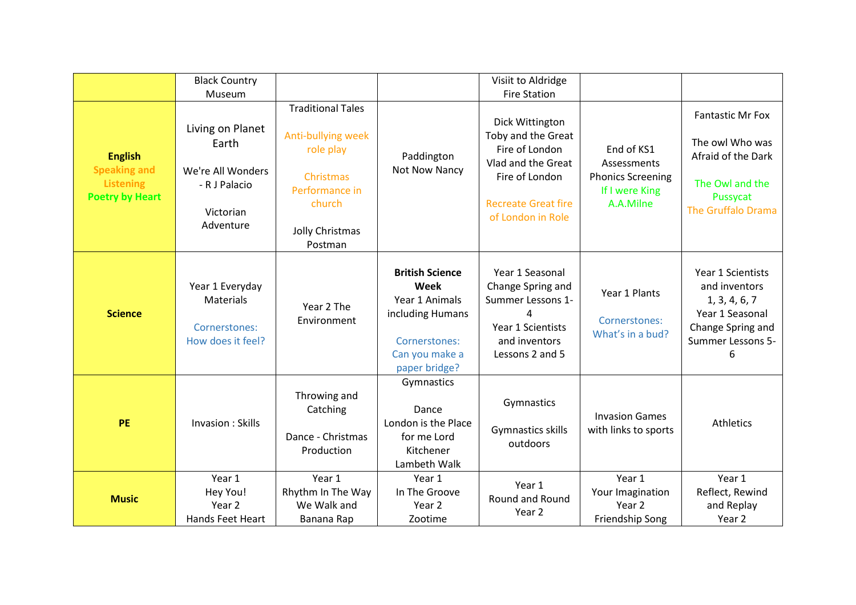|                                                                                     | <b>Black Country</b><br>Museum                                                            |                                                                                                                                    |                                                                                                                          | Visiit to Aldridge<br><b>Fire Station</b>                                                                                                          |                                                                                      |                                                                                                                       |
|-------------------------------------------------------------------------------------|-------------------------------------------------------------------------------------------|------------------------------------------------------------------------------------------------------------------------------------|--------------------------------------------------------------------------------------------------------------------------|----------------------------------------------------------------------------------------------------------------------------------------------------|--------------------------------------------------------------------------------------|-----------------------------------------------------------------------------------------------------------------------|
| <b>English</b><br><b>Speaking and</b><br><b>Listening</b><br><b>Poetry by Heart</b> | Living on Planet<br>Earth<br>We're All Wonders<br>- R J Palacio<br>Victorian<br>Adventure | <b>Traditional Tales</b><br>Anti-bullying week<br>role play<br>Christmas<br>Performance in<br>church<br>Jolly Christmas<br>Postman | Paddington<br>Not Now Nancy                                                                                              | Dick Wittington<br>Toby and the Great<br>Fire of London<br>Vlad and the Great<br>Fire of London<br><b>Recreate Great fire</b><br>of London in Role | End of KS1<br>Assessments<br><b>Phonics Screening</b><br>If I were King<br>A.A.Milne | <b>Fantastic Mr Fox</b><br>The owl Who was<br>Afraid of the Dark<br>The Owl and the<br>Pussycat<br>The Gruffalo Drama |
| <b>Science</b>                                                                      | Year 1 Everyday<br><b>Materials</b><br>Cornerstones:<br>How does it feel?                 | Year 2 The<br>Environment                                                                                                          | <b>British Science</b><br>Week<br>Year 1 Animals<br>including Humans<br>Cornerstones:<br>Can you make a<br>paper bridge? | Year 1 Seasonal<br>Change Spring and<br>Summer Lessons 1-<br>4<br>Year 1 Scientists<br>and inventors<br>Lessons 2 and 5                            | Year 1 Plants<br>Cornerstones:<br>What's in a bud?                                   | Year 1 Scientists<br>and inventors<br>1, 3, 4, 6, 7<br>Year 1 Seasonal<br>Change Spring and<br>Summer Lessons 5-<br>6 |
| <b>PE</b>                                                                           | Invasion: Skills                                                                          | Throwing and<br>Catching<br>Dance - Christmas<br>Production                                                                        | Gymnastics<br>Dance<br>London is the Place<br>for me Lord<br>Kitchener<br>Lambeth Walk                                   | Gymnastics<br>Gymnastics skills<br>outdoors                                                                                                        | <b>Invasion Games</b><br>with links to sports                                        | Athletics                                                                                                             |
| <b>Music</b>                                                                        | Year 1<br>Hey You!<br>Year 2<br>Hands Feet Heart                                          | Year 1<br>Rhythm In The Way<br>We Walk and<br>Banana Rap                                                                           | Year 1<br>In The Groove<br>Year 2<br>Zootime                                                                             | Year 1<br>Round and Round<br>Year 2                                                                                                                | Year 1<br>Your Imagination<br>Year <sub>2</sub><br>Friendship Song                   | Year 1<br>Reflect, Rewind<br>and Replay<br>Year 2                                                                     |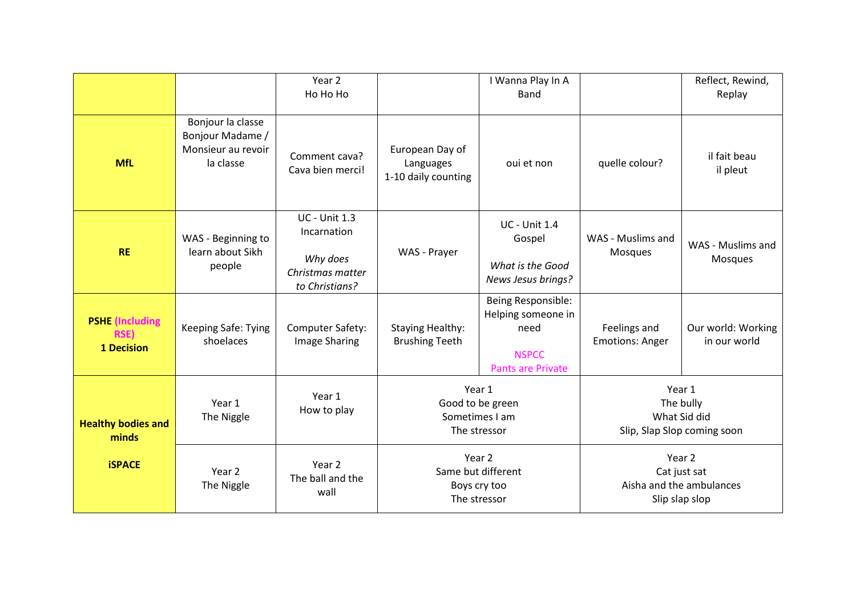|                                                            |                                                                          | Year 2<br>Ho Ho Ho                                                                    |                                                              | I Wanna Play In A<br><b>Band</b>                                                             |                                                                      | Reflect, Rewind,<br>Replay         |
|------------------------------------------------------------|--------------------------------------------------------------------------|---------------------------------------------------------------------------------------|--------------------------------------------------------------|----------------------------------------------------------------------------------------------|----------------------------------------------------------------------|------------------------------------|
| <b>MfL</b>                                                 | Bonjour la classe<br>Bonjour Madame /<br>Monsieur au revoir<br>la classe | Comment cava?<br>Cava bien merci!                                                     | European Day of<br>Languages<br>1-10 daily counting          | oui et non                                                                                   | quelle colour?                                                       | il fait beau<br>il pleut           |
| <b>RE</b>                                                  | WAS - Beginning to<br>learn about Sikh<br>people                         | <b>UC - Unit 1.3</b><br>Incarnation<br>Why does<br>Christmas matter<br>to Christians? | WAS - Prayer                                                 | <b>UC - Unit 1.4</b><br>Gospel<br>What is the Good<br>News Jesus brings?                     | WAS - Muslims and<br>Mosques                                         | WAS - Muslims and<br>Mosques       |
| <b>PSHE</b> (Including<br><b>RSE)</b><br><b>1 Decision</b> | Keeping Safe: Tying<br>shoelaces                                         | Computer Safety:<br><b>Image Sharing</b>                                              | <b>Staying Healthy:</b><br><b>Brushing Teeth</b>             | Being Responsible:<br>Helping someone in<br>need<br><b>NSPCC</b><br><b>Pants are Private</b> | Feelings and<br><b>Emotions: Anger</b>                               | Our world: Working<br>in our world |
| <b>Healthy bodies and</b><br>minds                         | Year 1<br>The Niggle                                                     | Year 1<br>How to play                                                                 | Year 1<br>Good to be green<br>Sometimes I am<br>The stressor |                                                                                              | Year 1<br>The bully<br>What Sid did<br>Slip, Slap Slop coming soon   |                                    |
| <b>iSPACE</b>                                              | Year 2<br>The Niggle                                                     | Year 2<br>The ball and the<br>wall                                                    | Year 2<br>Same but different<br>Boys cry too<br>The stressor |                                                                                              | Year 2<br>Cat just sat<br>Aisha and the ambulances<br>Slip slap slop |                                    |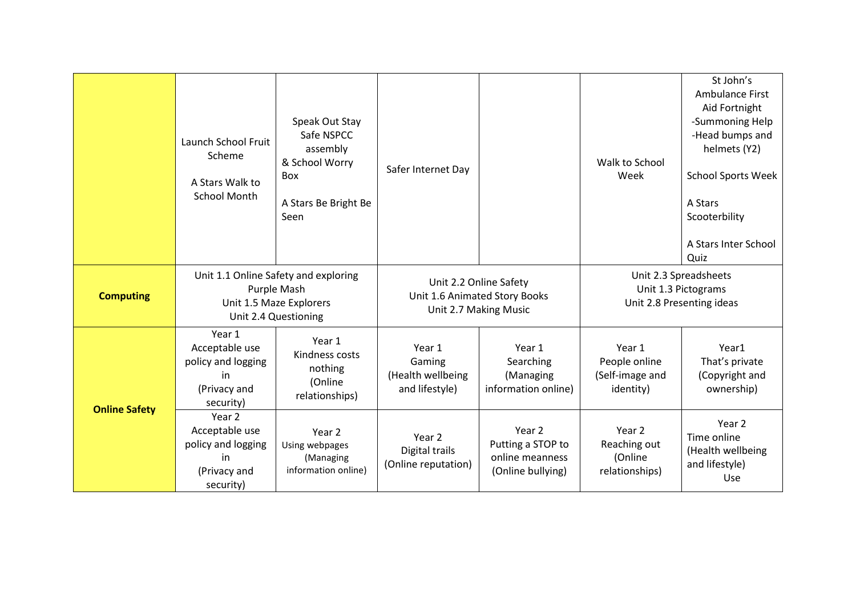|                      | Launch School Fruit<br>Scheme<br>A Stars Walk to<br><b>School Month</b>                                | Speak Out Stay<br>Safe NSPCC<br>assembly<br>& School Worry<br>Box<br>A Stars Be Bright Be<br>Seen | Safer Internet Day                                                               |                                                                     | Walk to School<br>Week                                                    | St John's<br><b>Ambulance First</b><br>Aid Fortnight<br>-Summoning Help<br>-Head bumps and<br>helmets (Y2)<br><b>School Sports Week</b><br>A Stars<br>Scooterbility<br>A Stars Inter School<br>Quiz |
|----------------------|--------------------------------------------------------------------------------------------------------|---------------------------------------------------------------------------------------------------|----------------------------------------------------------------------------------|---------------------------------------------------------------------|---------------------------------------------------------------------------|-----------------------------------------------------------------------------------------------------------------------------------------------------------------------------------------------------|
| <b>Computing</b>     | Unit 1.1 Online Safety and exploring<br>Purple Mash<br>Unit 1.5 Maze Explorers<br>Unit 2.4 Questioning |                                                                                                   | Unit 2.2 Online Safety<br>Unit 1.6 Animated Story Books<br>Unit 2.7 Making Music |                                                                     | Unit 2.3 Spreadsheets<br>Unit 1.3 Pictograms<br>Unit 2.8 Presenting ideas |                                                                                                                                                                                                     |
|                      | Year 1<br>Acceptable use<br>policy and logging<br>in<br>(Privacy and<br>security)                      | Year 1<br>Kindness costs<br>nothing<br>(Online<br>relationships)                                  | Year 1<br>Gaming<br>(Health wellbeing<br>and lifestyle)                          | Year 1<br>Searching<br>(Managing<br>information online)             | Year 1<br>People online<br>(Self-image and<br>identity)                   | Year1<br>That's private<br>(Copyright and<br>ownership)                                                                                                                                             |
| <b>Online Safety</b> | Year 2<br>Acceptable use<br>policy and logging<br>in<br>(Privacy and<br>security)                      | Year 2<br>Using webpages<br>(Managing<br>information online)                                      | Year 2<br>Digital trails<br>(Online reputation)                                  | Year 2<br>Putting a STOP to<br>online meanness<br>(Online bullying) | Year <sub>2</sub><br>Reaching out<br>(Online<br>relationships)            | Year 2<br>Time online<br>(Health wellbeing<br>and lifestyle)<br>Use                                                                                                                                 |